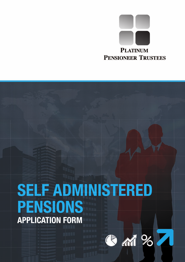

# **SELF ADMINISTERED PENSIONS APPLICATION FORM**

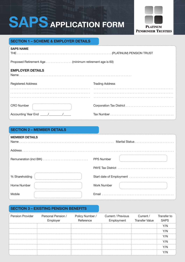# **SAPS APPLICATION FORM**



## **SECTION 1 – SCHEME & EMPLOYER DETAILS**

| <b>SAPS NAME</b>                                       |                        |  |
|--------------------------------------------------------|------------------------|--|
| Proposed Retirement Age (minimum retirement age is 60) |                        |  |
| <b>EMPLOYER DETAILS</b>                                |                        |  |
| <b>Registered Address</b>                              | <b>Trading Address</b> |  |
|                                                        |                        |  |
|                                                        |                        |  |
| <b>CRO Number</b>                                      |                        |  |
| Accounting Year End 11                                 |                        |  |

# **SECTION 2 – MEMBER DETAILS MEMBER DETAILS** Name . . . . . . . . . . . . . . . . . . . . . . . . . . . . . . . . . . . . . . . . . . . . . . . . . . . . . . . . . . Marital Status . . . . . . . . . . . . . . . . . . . . . . . . Address . . . . . . . . . . . . . . . . . . . . . . . . . . . . . . . . . . . . . . . . . . . . . . . . . . . . . . . . . . . . . . . . . . . . . . . . . . . . . . . . . . . . . . . . . . . . . Remuneration (incl BIK) . . . . . . . . . . . . . . . . . . . . . . . . . . . . PPS Number PAYE Tax District . . . . . . . . . . . . . . . . . . % Shareholding Start date of Employment  $\ldots$ ....... Home Number Number Number Number Number Number Number Number Number Number Number Mobile Email . . . . . . . . . . . . . . . . . . . . . . . . . . . . . . . . . . . . . . . . . . . .

# **SECTION 3 – EXISTING PENSION BENEFITS**

| <b>Pension Provider</b> | Personal Pension /<br>Employer | Reference | Policy Number / Current / Previous<br>Employment | Current /<br><b>Transfer Value</b> | Transfer to<br><b>SAPS</b> |
|-------------------------|--------------------------------|-----------|--------------------------------------------------|------------------------------------|----------------------------|
|                         |                                |           |                                                  |                                    |                            |
|                         |                                |           |                                                  |                                    |                            |
|                         |                                |           |                                                  |                                    |                            |
|                         |                                |           |                                                  |                                    |                            |
|                         |                                |           |                                                  |                                    | '/N                        |
|                         |                                |           |                                                  |                                    |                            |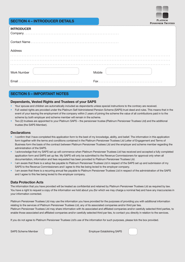### **SECTION 4 – INTRODUCER DETAILS**

| PLATINUM                  |  |
|---------------------------|--|
| <b>ENSIONEER TRUSTEES</b> |  |

 $\mathbf{p}$ 

#### **INTRODUCER**

| Com                |        |
|--------------------|--------|
|                    |        |
| Address            |        |
|                    |        |
|                    |        |
|                    |        |
| <b>Work Number</b> | Mobile |
| Email              | Fax.   |

### **SECTION 5 – IMPORTANT NOTES**

#### **Dependants, Vested Rights and Trustees of your SAPS**

- Your spouse and children are automatically included as dependants unless special instructions to the contrary are received.
- Full vested rights are provided under the Platinum Self Administered Pension Scheme (SAPS) trust deed and rules. This means that in the event of your leaving the employment of the company within 2 years of joining the scheme the value of all contributions paid in to the scheme by both employer and scheme member will remain in the scheme.
- Two (2) trustees are appointed to your Platinum SAPS the pensioneer trustee (Platinum Pensioneer Trustees Ltd) and the additional trustee (the SAPS Member).

#### **Declarations**

- I confirm that I have completed this application form to the best of my knowledge, ability, and belief. The information in this application form together with the terms and conditions contained in the Platinum Pensioneer Trustees Ltd Letter of Engagement and Terms of Business form the basis of the contract between Platinum Pensioneer Trustees Ltd and the employer and scheme member regarding the administration of the SAPS.
- I acknowledge that my SAPS set up will commence when Platinum Pensioneer Trustees Ltd has received and accepted a fully completed application form and SAPS set up fee. My SAPS will only be submitted to the Revenue Commissioners for approval only when all documentation, information and fees requested has been provided to Platinum Pensioneer Trustees Ltd.
- I am aware that there is a setup fee payable to Platinum Pensioneer Trustees Ltd in respect of the SAPS set up and submission of my SAPS to the Revenue Commissioners and I agree to this fee being levied to the employer company.
- I am aware that there is a recurring annual fee payable to Platinum Pensioneer Trustees Ltd in respect of the administration of the SAPS and I agree to this fee being levied to the employer company.

#### **Data Protection Acts**

The information that you have provided will be treated as confidential and retained by Platinum Pensioneer Trustees Ltd as required by law. You have a right to request a copy of the information we hold about you (for which we may charge a nominal fee) and have any inaccuracies in your information corrected.

Platinum Pensioneer Trustees Ltd may use the information you have provided for the purposes of providing you with additional information relating to the services of Platinum Pensioneer Trustees Ltd, any of its associated companies and/or third par ties. Platinum Pensioneer Trustees Ltd may share information with its associated and affiliated companies and/or carefully selected third parties, to enable those associated and affiliated companies and/or carefully selected third par ties, to contact you directly in relation to the services.

If you do not agree to Platinum Pensioneer Trustees Ltd's use of the information for such purposes, please tick the box provided.



SAPS Scheme Member **Employer Establishing SAPS**